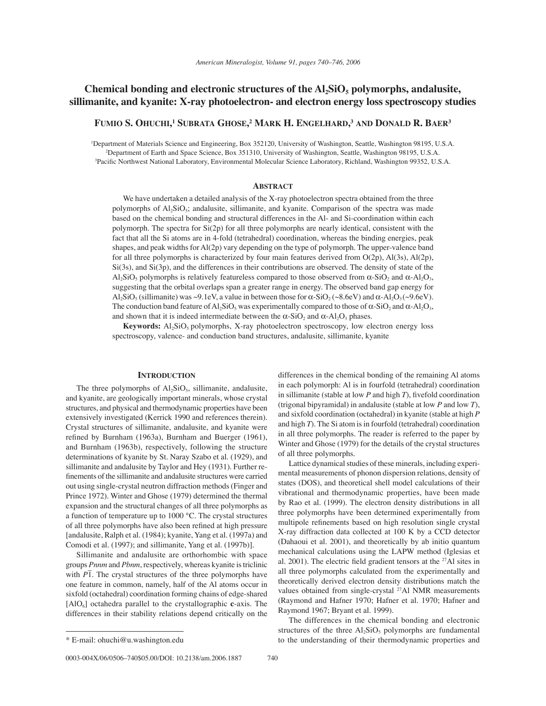# Chemical bonding and electronic structures of the Al<sub>2</sub>SiO<sub>s</sub> polymorphs, andalusite, **sillimanite, and kyanite: X-ray photoelectron- and electron energy loss spectroscopy studies**

**FUMIO S. OHUCHI, 1 SUBRATA GHOSE, 2 MARK H. ENGELHARD, <sup>3</sup> AND DONALD R. BAER3**

1 Department of Materials Science and Engineering, Box 352120, University of Washington, Seattle, Washington 98195, U.S.A. 2 Department of Earth and Space Science, Box 351310, University of Washington, Seattle, Washington 98195, U.S.A. <sup>3</sup>Pacific Northwest National Laboratory, Environmental Molecular Science Laboratory, Richland, Washington 99352, U.S.A.

## **ABSTRACT**

We have undertaken a detailed analysis of the X-ray photoelectron spectra obtained from the three polymorphs of Al<sub>2</sub>SiO<sub>5</sub>; andalusite, sillimanite, and kyanite. Comparison of the spectra was made based on the chemical bonding and structural differences in the Al- and Si-coordination within each polymorph. The spectra for Si(2p) for all three polymorphs are nearly identical, consistent with the fact that all the Si atoms are in 4-fold (tetrahedral) coordination, whereas the binding energies, peak shapes, and peak widths for Al(2p) vary depending on the type of polymorph. The upper-valence band for all three polymorphs is characterized by four main features derived from  $O(2p)$ ,  $Al(3s)$ ,  $Al(2p)$ , Si(3s), and Si(3p), and the differences in their contributions are observed. The density of state of the  $A\ell_2SiO_5$  polymorphs is relatively featureless compared to those observed from  $\alpha$ -SiO<sub>2</sub> and  $\alpha$ -Al<sub>2</sub>O<sub>3</sub>, suggesting that the orbital overlaps span a greater range in energy. The observed band gap energy for Al<sub>2</sub>SiO<sub>5</sub> (sillimanite) was ~9.1eV, a value in between those for  $\alpha$ -SiO<sub>2</sub> (~8.6eV) and  $\alpha$ -Al<sub>2</sub>O<sub>3</sub> (~9.6eV). The conduction band feature of Al<sub>2</sub>SiO<sub>5</sub> was experimentally compared to those of  $\alpha$ -SiO<sub>2</sub> and  $\alpha$ -Al<sub>2</sub>O<sub>3</sub>, and shown that it is indeed intermediate between the  $\alpha$ -SiO<sub>2</sub> and  $\alpha$ -Al<sub>2</sub>O<sub>3</sub> phases.

**Keywords:** Al<sub>2</sub>SiO<sub>5</sub> polymorphs, X-ray photoelectron spectroscopy, low electron energy loss spectroscopy, valence- and conduction band structures, andalusite, sillimanite, kyanite

#### **INTRODUCTION**

The three polymorphs of  $Al_2SiO_5$ , sillimanite, andalusite, and kyanite, are geologically important minerals, whose crystal structures, and physical and thermodynamic properties have been extensively investigated (Kerrick 1990 and references therein). Crystal structures of sillimanite, andalusite, and kyanite were refined by Burnham (1963a), Burnham and Buerger (1961), and Burnham (1963b), respectively, following the structure determinations of kyanite by St. Naray Szabo et al. (1929), and sillimanite and andalusite by Taylor and Hey (1931). Further refinements of the sillimanite and andalusite structures were carried out using single-crystal neutron diffraction methods (Finger and Prince 1972). Winter and Ghose (1979) determined the thermal expansion and the structural changes of all three polymorphs as a function of temperature up to 1000 °C. The crystal structures of all three polymorphs have also been refined at high pressure [andalusite, Ralph et al. (1984); kyanite, Yang et al. (1997a) and Comodi et al. (1997); and sillimanite, Yang et al. (1997b)].

Sillimanite and andalusite are orthorhombic with space groups *Pnnm* and *Pbnm*, respectively, whereas kyanite is triclinic with  $P\overline{1}$ . The crystal structures of the three polymorphs have one feature in common, namely, half of the Al atoms occur in sixfold (octahedral) coordination forming chains of edge-shared [AlO6] octahedra parallel to the crystallographic **c**-axis. The differences in their stability relations depend critically on the

0003-004X/06/0506-740\$05.00/DOI: 10.2138/am.2006.1887 740

differences in the chemical bonding of the remaining Al atoms in each polymorph: Al is in fourfold (tetrahedral) coordination in sillimanite (stable at low *P* and high *T*), fi vefold coordination (trigonal bipyramidal) in andalusite (stable at low *P* and low *T*), and sixfold coordination (octahedral) in kyanite (stable at high *P* and high *T*). The Si atom is in fourfold (tetrahedral) coordination in all three polymorphs. The reader is referred to the paper by Winter and Ghose (1979) for the details of the crystal structures of all three polymorphs.

Lattice dynamical studies of these minerals, including experimental measurements of phonon dispersion relations, density of states (DOS), and theoretical shell model calculations of their vibrational and thermodynamic properties, have been made by Rao et al. (1999). The electron density distributions in all three polymorphs have been determined experimentally from multipole refinements based on high resolution single crystal X-ray diffraction data collected at 100 K by a CCD detector (Dahaoui et al. 2001), and theoretically by ab initio quantum mechanical calculations using the LAPW method (Iglesias et al. 2001). The electric field gradient tensors at the  $27$ Al sites in all three polymorphs calculated from the experimentally and theoretically derived electron density distributions match the values obtained from single-crystal 27Al NMR measurements (Raymond and Hafner 1970; Hafner et al. 1970; Hafner and Raymond 1967; Bryant et al. 1999).

The differences in the chemical bonding and electronic structures of the three  $Al_2SiO_5$  polymorphs are fundamental \* E-mail: ohuchi@u.washington.edu to the understanding of their thermodynamic properties and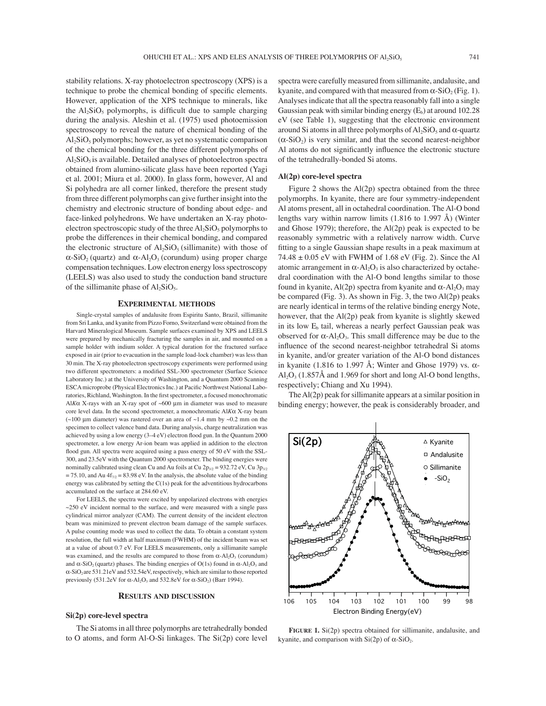stability relations. X-ray photoelectron spectroscopy (XPS) is a technique to probe the chemical bonding of specific elements. However, application of the XPS technique to minerals, like the  $Al_2SiO_5$  polymorphs, is difficult due to sample charging during the analysis. Aleshin et al. (1975) used photoemission spectroscopy to reveal the nature of chemical bonding of the  $\text{Al}_2\text{SiO}_5$  polymorphs; however, as yet no systematic comparison of the chemical bonding for the three different polymorphs of  $\text{Al}_2\text{SiO}_5$  is available. Detailed analyses of photoelectron spectra obtained from alumino-silicate glass have been reported (Yagi et al. 2001; Miura et al. 2000). In glass form, however, Al and Si polyhedra are all corner linked, therefore the present study from three different polymorphs can give further insight into the chemistry and electronic structure of bonding about edge- and face-linked polyhedrons. We have undertaken an X-ray photoelectron spectroscopic study of the three  $Al_2SiO_5$  polymorphs to probe the differences in their chemical bonding, and compared the electronic structure of  $Al_2SiO_5$  (sillimanite) with those of  $\alpha$ -SiO<sub>2</sub> (quartz) and  $\alpha$ -Al<sub>2</sub>O<sub>3</sub> (corundum) using proper charge compensation techniques. Low electron energy loss spectroscopy (LEELS) was also used to study the conduction band structure of the sillimanite phase of  $Al_2SiO_5$ .

#### **EXPERIMENTAL METHODS**

Single-crystal samples of andalusite from Espiritu Santo, Brazil, sillimanite from Sri Lanka, and kyanite from Pizzo Forno, Switzerland were obtained from the Harvard Mineralogical Museum. Sample surfaces examined by XPS and LEELS were prepared by mechanically fracturing the samples in air, and mounted on a sample holder with indium solder. A typical duration for the fractured surface exposed in air (prior to evacuation in the sample load-lock chamber) was less than 30 min. The X-ray photoelectron spectroscopy experiments were performed using two different spectrometers: a modified SSL-300 spectrometer (Surface Science Laboratory Inc.) at the University of Washington, and a Quantum 2000 Scanning ESCA microprobe (Physical Electronics Inc.) at Pacific Northwest National Laboratories, Richland, Washington. In the first spectrometer, a focused monochromatic Al*K*α X-rays with an X-ray spot of ~600 μm in diameter was used to measure core level data. In the second spectrometer, a monochromatic Al*K*α X-ray beam ( $\sim$ 100 μm diameter) was rastered over an area of  $\sim$ 1.4 mm by  $\sim$ 0.2 mm on the specimen to collect valence band data. During analysis, charge neutralization was achieved by using a low energy  $(3-4 \text{ eV})$  electron flood gun. In the Quantum 2000 spectrometer, a low energy Ar-ion beam was applied in addition to the electron flood gun. All spectra were acquired using a pass energy of 50 eV with the SSL-300, and 23.5eV with the Quantum 2000 spectrometer. The binding energies were nominally calibrated using clean Cu and Au foils at Cu  $2p_{3/2} = 932.72 \text{ eV}$ , Cu  $3p_{3/2}$  $= 75.10$ , and Au  $4f_{7/2} = 83.98$  eV. In the analysis, the absolute value of the binding energy was calibrated by setting the C(1s) peak for the adventitious hydrocarbons accumulated on the surface at 284.60 eV.

For LEELS, the spectra were excited by unpolarized electrons with energies  $\sim$ 250 eV incident normal to the surface, and were measured with a single pass cylindrical mirror analyzer (CAM). The current density of the incident electron beam was minimized to prevent electron beam damage of the sample surfaces. A pulse counting mode was used to collect the data. To obtain a constant system resolution, the full width at half maximum (FWHM) of the incident beam was set at a value of about 0.7 eV. For LEELS measurements, only a sillimanite sample was examined, and the results are compared to those from  $\alpha$ -Al<sub>2</sub>O<sub>3</sub> (corundum) and  $\alpha$ -SiO<sub>2</sub> (quartz) phases. The binding energies of O(1s) found in  $\alpha$ -Al<sub>2</sub>O<sub>3</sub> and α-SiO2 are 531.21eV and 532.54eV, respectively, which are similar to those reported previously (531.2eV for  $\alpha$ -Al<sub>2</sub>O<sub>3</sub> and 532.8eV for  $\alpha$ -SiO<sub>2</sub>) (Barr 1994).

#### **RESULTS AND DISCUSSION**

### **Si(2p) core-level spectra**

The Si atoms in all three polymorphs are tetrahedrally bonded to O atoms, and form Al-O-Si linkages. The Si(2p) core level spectra were carefully measured from sillimanite, andalusite, and kyanite, and compared with that measured from  $\alpha$ -SiO<sub>2</sub> (Fig. 1). Analyses indicate that all the spectra reasonably fall into a single Gaussian peak with similar binding energy  $(E_b)$  at around 102.28 eV (see Table 1), suggesting that the electronic environment around Si atoms in all three polymorphs of  $Al_2SiO_5$  and  $\alpha$ -quartz  $(\alpha$ -SiO<sub>2</sub>) is very similar, and that the second nearest-neighbor Al atoms do not significantly influence the electronic stucture of the tetrahedrally-bonded Si atoms.

## **Al(2p) core-level spectra**

Figure 2 shows the Al(2p) spectra obtained from the three polymorphs. In kyanite, there are four symmetry-independent Al atoms present, all in octahedral coordination. The Al-O bond lengths vary within narrow limits (1.816 to 1.997 Å) (Winter and Ghose 1979); therefore, the Al(2p) peak is expected to be reasonably symmetric with a relatively narrow width. Curve fitting to a single Gaussian shape results in a peak maximum at  $74.48 \pm 0.05$  eV with FWHM of 1.68 eV (Fig. 2). Since the Al atomic arrangement in  $\alpha$ -Al<sub>2</sub>O<sub>3</sub> is also characterized by octahedral coordination with the Al-O bond lengths similar to those found in kyanite,  $Al(2p)$  spectra from kyanite and  $\alpha$ - $Al_2O_3$  may be compared (Fig. 3). As shown in Fig. 3, the two Al(2p) peaks are nearly identical in terms of the relative binding energy Note, however, that the Al(2p) peak from kyanite is slightly skewed in its low  $E<sub>b</sub>$  tail, whereas a nearly perfect Gaussian peak was observed for  $\alpha$ -Al<sub>2</sub>O<sub>3</sub>. This small difference may be due to the influence of the second nearest-neighbor tetrahedral Si atoms in kyanite, and/or greater variation of the Al-O bond distances in kyanite (1.816 to 1.997 Å; Winter and Ghose 1979) vs.  $\alpha$ - $\text{Al}_2\text{O}_3$  (1.857Å and 1.969 for short and long Al-O bond lengths, respectively; Chiang and Xu 1994).

The Al(2p) peak for sillimanite appears at a similar position in binding energy; however, the peak is considerably broader, and



FIGURE 1. Si(2p) spectra obtained for sillimanite, andalusite, and kyanite, and comparison with  $Si(2p)$  of  $\alpha$ -SiO<sub>2</sub>.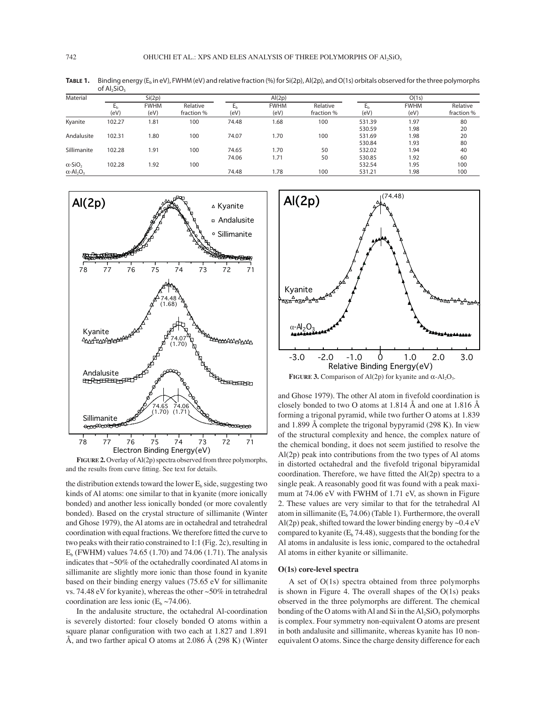**TABLE 1.** Binding energy ( $E_b$  in eV), FWHM (eV) and relative fraction (%) for Si(2p), Al(2p), and O(1s) orbitals observed for the three polymorphs

|                                                                        | of $Al2SiO5$ |                     |                        |                        |                     |                        |                        |                     |                        |
|------------------------------------------------------------------------|--------------|---------------------|------------------------|------------------------|---------------------|------------------------|------------------------|---------------------|------------------------|
| Material                                                               | Si(2p)       |                     |                        | Al(2p)                 |                     |                        | O(1s)                  |                     |                        |
|                                                                        | Ьh<br>(eV)   | <b>FWHM</b><br>(eV) | Relative<br>fraction % | E <sub>b</sub><br>(eV) | <b>FWHM</b><br>(eV) | Relative<br>fraction % | E <sub>h</sub><br>(eV) | <b>FWHM</b><br>(eV) | Relative<br>fraction % |
| Kyanite                                                                | 102.27       | 1.81                | 100                    | 74.48                  | 1.68                | 100                    | 531.39<br>530.59       | 1.97<br>1.98        | 80<br>20               |
| Andalusite                                                             | 102.31       | 1.80                | 100                    | 74.07                  | 1.70                | 100                    | 531.69<br>530.84       | 1.98<br>1.93        | 20<br>80               |
| Sillimanite                                                            | 102.28       | 1.91                | 100                    | 74.65<br>74.06         | 1.70<br>1.71        | 50<br>50               | 532.02<br>530.85       | 1.94<br>1.92        | 40<br>60               |
| $\alpha$ -SiO <sub>2</sub><br>$\alpha$ -Al <sub>2</sub> O <sub>3</sub> | 102.28       | 1.92                | 100                    | 74.48                  | 1.78                | 100                    | 532.54<br>531.21       | 1.95<br>1.98        | 100<br>100             |



**FIGURE 2.** Overlay of Al(2p) spectra observed from three polymorphs, and the results from curve fitting. See text for details.

the distribution extends toward the lower  $E<sub>b</sub>$  side, suggesting two kinds of Al atoms: one similar to that in kyanite (more ionically bonded) and another less ionically bonded (or more covalently bonded). Based on the crystal structure of sillimanite (Winter and Ghose 1979), the Al atoms are in octahedral and tetrahedral coordination with equal fractions. We therefore fitted the curve to two peaks with their ratio constrained to 1:1 (Fig. 2c), resulting in  $E_b$  (FWHM) values 74.65 (1.70) and 74.06 (1.71). The analysis indicates that ~50% of the octahedrally coordinated Al atoms in sillimanite are slightly more ionic than those found in kyanite based on their binding energy values (75.65 eV for sillimanite vs. 74.48 eV for kyanite), whereas the other ~50% in tetrahedral coordination are less ionic ( $E_b \sim 74.06$ ).

In the andalusite structure, the octahedral Al-coordination is severely distorted: four closely bonded O atoms within a square planar configuration with two each at 1.827 and 1.891 Å, and two farther apical O atoms at  $2.086 \text{ Å}$  (298 K) (Winter



**FIGURE 3.** Comparison of Al(2p) for kyanite and  $\alpha$ -Al<sub>2</sub>O<sub>3</sub>.

and Ghose 1979). The other Al atom in fivefold coordination is closely bonded to two O atoms at 1.814 Å and one at 1.816 Å forming a trigonal pyramid, while two further O atoms at 1.839 and 1.899 Å complete the trigonal bypyramid (298 K). In view of the structural complexity and hence, the complex nature of the chemical bonding, it does not seem justified to resolve the Al(2p) peak into contributions from the two types of Al atoms in distorted octahedral and the fivefold trigonal bipyramidal coordination. Therefore, we have fitted the  $Al(2p)$  spectra to a single peak. A reasonably good fit was found with a peak maximum at 74.06 eV with FWHM of 1.71 eV, as shown in Figure 2. These values are very similar to that for the tetrahedral Al atom in sillimanite  $(E_b 74.06)$  (Table 1). Furthermore, the overall Al(2p) peak, shifted toward the lower binding energy by  $\sim 0.4 \text{ eV}$ compared to kyanite  $(E_b 74.48)$ , suggests that the bonding for the Al atoms in andalusite is less ionic, compared to the octahedral Al atoms in either kyanite or sillimanite.

### **O(1s) core-level spectra**

A set of O(1s) spectra obtained from three polymorphs is shown in Figure 4. The overall shapes of the  $O(1s)$  peaks observed in the three polymorphs are different. The chemical bonding of the O atoms with Al and Si in the  $Al_2SiO_5$  polymorphs is complex. Four symmetry non-equivalent O atoms are present in both andalusite and sillimanite, whereas kyanite has 10 nonequivalent O atoms. Since the charge density difference for each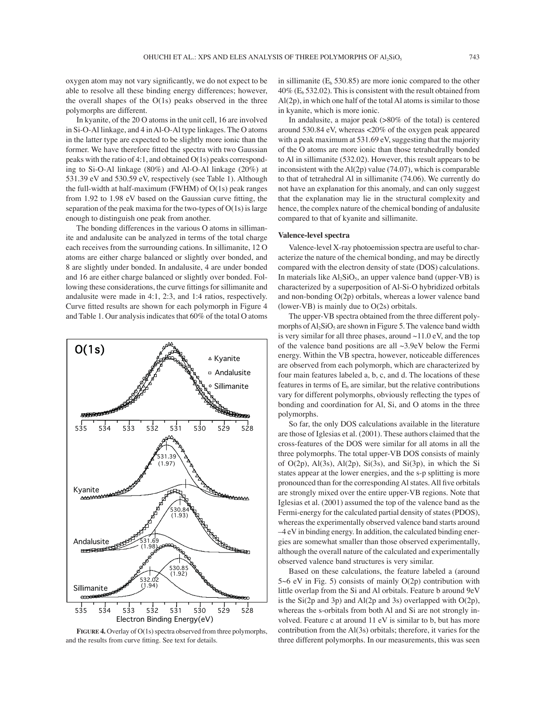oxygen atom may not vary significantly, we do not expect to be able to resolve all these binding energy differences; however, the overall shapes of the  $O(1s)$  peaks observed in the three polymorphs are different.

In kyanite, of the 20 O atoms in the unit cell, 16 are involved in Si-O-Al linkage, and 4 in Al-O-Al type linkages. The O atoms in the latter type are expected to be slightly more ionic than the former. We have therefore fitted the spectra with two Gaussian peaks with the ratio of 4:1, and obtained O(1s) peaks corresponding to Si-O-Al linkage (80%) and Al-O-Al linkage (20%) at 531.39 eV and 530.59 eV, respectively (see Table 1). Although the full-width at half-maximum (FWHM) of O(1s) peak ranges from  $1.92$  to  $1.98$  eV based on the Gaussian curve fitting, the separation of the peak maxima for the two-types of  $O(1s)$  is large enough to distinguish one peak from another.

The bonding differences in the various O atoms in sillimanite and andalusite can be analyzed in terms of the total charge each receives from the surrounding cations. In sillimanite, 12 O atoms are either charge balanced or slightly over bonded, and 8 are slightly under bonded. In andalusite, 4 are under bonded and 16 are either charge balanced or slightly over bonded. Following these considerations, the curve fittings for sillimanite and andalusite were made in 4:1, 2:3, and 1:4 ratios, respectively. Curve fitted results are shown for each polymorph in Figure 4 and Table 1. Our analysis indicates that 60% of the total O atoms



**FIGURE 4.** Overlay of O(1s) spectra observed from three polymorphs, and the results from curve fitting. See text for details.

in sillimanite ( $E<sub>b</sub>$  530.85) are more ionic compared to the other  $40\%$  (E<sub>b</sub> 532.02). This is consistent with the result obtained from Al(2p), in which one half of the total Al atoms is similar to those in kyanite, which is more ionic.

In andalusite, a major peak (>80% of the total) is centered around 530.84 eV, whereas <20% of the oxygen peak appeared with a peak maximum at 531.69 eV, suggesting that the majority of the O atoms are more ionic than those tetrahedrally bonded to Al in sillimanite (532.02). However, this result appears to be inconsistent with the Al(2p) value (74.07), which is comparable to that of tetrahedral Al in sillimanite (74.06). We currently do not have an explanation for this anomaly, and can only suggest that the explanation may lie in the structural complexity and hence, the complex nature of the chemical bonding of andalusite compared to that of kyanite and sillimanite.

# **Valence-level spectra**

Valence-level X-ray photoemission spectra are useful to characterize the nature of the chemical bonding, and may be directly compared with the electron density of state (DOS) calculations. In materials like  $Al_2SiO_5$ , an upper valence band (upper-VB) is characterized by a superposition of Al-Si-O hybridized orbitals and non-bonding O(2p) orbitals, whereas a lower valence band (lower-VB) is mainly due to O(2s) orbitals.

The upper-VB spectra obtained from the three different polymorphs of  $Al_2SiO_5$  are shown in Figure 5. The valence band width is very similar for all three phases, around  $\sim$ 11.0 eV, and the top of the valence band positions are all ~3.9eV below the Fermi energy. Within the VB spectra, however, noticeable differences are observed from each polymorph, which are characterized by four main features labeled a, b, c, and d. The locations of these features in terms of  $E<sub>b</sub>$  are similar, but the relative contributions vary for different polymorphs, obviously reflecting the types of bonding and coordination for Al, Si, and O atoms in the three polymorphs.

So far, the only DOS calculations available in the literature are those of Iglesias et al. (2001). These authors claimed that the cross-features of the DOS were similar for all atoms in all the three polymorphs. The total upper-VB DOS consists of mainly of  $O(2p)$ ,  $Al(3s)$ ,  $Al(2p)$ ,  $Si(3s)$ , and  $Si(3p)$ , in which the Si states appear at the lower energies, and the s-p splitting is more pronounced than for the corresponding Al states. All five orbitals are strongly mixed over the entire upper-VB regions. Note that Iglesias et al. (2001) assumed the top of the valence band as the Fermi-energy for the calculated partial density of states (PDOS), whereas the experimentally observed valence band starts around  $-4$  eV in binding energy. In addition, the calculated binding energies are somewhat smaller than those observed experimentally, although the overall nature of the calculated and experimentally observed valence band structures is very similar.

Based on these calculations, the feature labeled a (around  $5~6$  eV in Fig. 5) consists of mainly  $O(2p)$  contribution with little overlap from the Si and Al orbitals. Feature b around 9eV is the Si(2p and 3p) and Al(2p and 3s) overlapped with O(2p), whereas the s-orbitals from both Al and Si are not strongly involved. Feature c at around 11 eV is similar to b, but has more contribution from the Al(3s) orbitals; therefore, it varies for the three different polymorphs. In our measurements, this was seen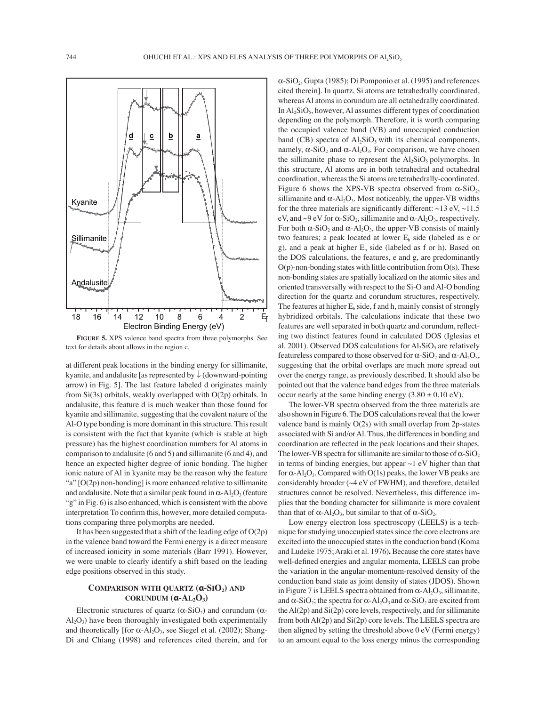

**FIGURE 5.** XPS valence band spectra from three polymorphs. See text for details about allows in the region c.

at different peak locations in the binding energy for sillimanite, kyanite, and andalusite [as represented by ↓ (downward-pointing arrow) in Fig. 5]. The last feature labeled d originates mainly from  $Si(3s)$  orbitals, weakly overlapped with  $O(2p)$  orbitals. In andalusite, this feature d is much weaker than those found for kyanite and sillimanite, suggesting that the covalent nature of the Al-O type bonding is more dominant in this structure. This result is consistent with the fact that kyanite (which is stable at high pressure) has the highest coordination numbers for Al atoms in comparison to andalusite (6 and 5) and sillimanite (6 and 4), and hence an expected higher degree of ionic bonding. The higher ionic nature of Al in kyanite may be the reason why the feature "a"  $[O(2p)$  non-bonding] is more enhanced relative to sillimanite and andalusite. Note that a similar peak found in  $\alpha$ -Al<sub>2</sub>O<sub>3</sub> (feature " $g$ " in Fig. 6) is also enhanced, which is consistent with the above interpretation To confirm this, however, more detailed computations comparing three polymorphs are needed.

It has been suggested that a shift of the leading edge of  $O(2p)$ in the valence band toward the Fermi energy is a direct measure of increased ionicity in some materials (Barr 1991). However, we were unable to clearly identify a shift based on the leading edge positions observed in this study.

# **COMPARISON WITH QUARTZ (α-SIO2) AND CORUNDUM (α-AL2O3)**

Electronic structures of quartz ( $\alpha$ -SiO<sub>2</sub>) and corundum ( $\alpha$ - $Al_2O_3$ ) have been thoroughly investigated both experimentally and theoretically [for  $\alpha$ -Al<sub>2</sub>O<sub>3</sub>, see Siegel et al. (2002); Shang-Di and Chiang (1998) and references cited therein, and for  $\alpha$ -SiO<sub>2</sub>, Gupta (1985); Di Pomponio et al. (1995) and references cited therein]. In quartz, Si atoms are tetrahedrally coordinated, whereas Al atoms in corundum are all octahedrally coordinated. In  $Al<sub>2</sub>SiO<sub>5</sub>$ , however, Al assumes different types of coordination depending on the polymorph. Therefore, it is worth comparing the occupied valence band (VB) and unoccupied conduction band (CB) spectra of  $Al_2SiO_5$  with its chemical components, namely,  $\alpha$ -SiO<sub>2</sub> and  $\alpha$ -Al<sub>2</sub>O<sub>3</sub>. For comparison, we have chosen the sillimanite phase to represent the  $Al<sub>2</sub>SiO<sub>5</sub>$  polymorphs. In this structure, Al atoms are in both tetrahedral and octahedral coordination, whereas the Si atoms are tetrahedrally-coordinated. Figure 6 shows the XPS-VB spectra observed from  $\alpha$ -SiO<sub>2</sub>, sillimanite and  $\alpha$ -Al<sub>2</sub>O<sub>3</sub>. Most noticeably, the upper-VB widths for the three materials are significantly different:  $\sim$ 13 eV,  $\sim$ 11.5 eV, and ~9 eV for  $\alpha$ -SiO<sub>2</sub>, sillimanite and  $\alpha$ -Al<sub>2</sub>O<sub>3</sub>, respectively. For both  $\alpha$ -SiO<sub>2</sub> and  $\alpha$ -Al<sub>2</sub>O<sub>3</sub>, the upper-VB consists of mainly two features; a peak located at lower  $E<sub>b</sub>$  side (labeled as e or g), and a peak at higher  $E<sub>b</sub>$  side (labeled as f or h). Based on the DOS calculations, the features, e and g, are predominantly  $O(p)$ -non-bonding states with little contribution from  $O(s)$ . These non-bonding states are spatially localized on the atomic sites and oriented transversally with respect to the Si-O and Al-O bonding direction for the quartz and corundum structures, respectively. The features at higher  $E_b$  side, f and h, mainly consist of strongly hybridized orbitals. The calculations indicate that these two features are well separated in both quartz and corundum, reflecting two distinct features found in calculated DOS (Iglesias et al. 2001). Observed DOS calculations for  $Al_2SiO_5$  are relatively featureless compared to those observed for  $\alpha$ -SiO<sub>2</sub> and  $\alpha$ -Al<sub>2</sub>O<sub>3</sub>, suggesting that the orbital overlaps are much more spread out over the energy range, as previously described. It should also be pointed out that the valence band edges from the three materials occur nearly at the same binding energy  $(3.80 \pm 0.10 \text{ eV})$ .

The lower-VB spectra observed from the three materials are also shown in Figure 6. The DOS calculations reveal that the lower valence band is mainly O(2s) with small overlap from 2p-states associated with Si and/or Al. Thus, the differences in bonding and coordination are reflected in the peak locations and their shapes. The lower-VB spectra for sillimanite are similar to those of  $\alpha$ -SiO<sub>2</sub> in terms of binding energies, but appear  $\sim$ 1 eV higher than that for  $\alpha$ -Al<sub>2</sub>O<sub>3</sub>. Compared with O(1s) peaks, the lower VB peaks are considerably broader (~4 eV of FWHM), and therefore, detailed structures cannot be resolved. Nevertheless, this difference implies that the bonding character for sillimanite is more covalent than that of  $\alpha$ -Al<sub>2</sub>O<sub>3</sub>, but similar to that of  $\alpha$ -SiO<sub>2</sub>.

Low energy electron loss spectroscopy (LEELS) is a technique for studying unoccupied states since the core electrons are excited into the unoccupied states in the conduction band (Koma and Ludeke 1975; Araki et al. 1976)**.** Because the core states have well-defined energies and angular momenta, LEELS can probe the variation in the angular-momentum-resolved density of the conduction band state as joint density of states (JDOS). Shown in Figure 7 is LEELS spectra obtained from  $\alpha$ -Al<sub>2</sub>O<sub>3</sub>, sillimanite, and  $\alpha$ -SiO<sub>2</sub>; the spectra for  $\alpha$ -Al<sub>2</sub>O<sub>3</sub> and  $\alpha$ -SiO<sub>2</sub> are excited from the Al(2p) and Si(2p) core levels, respectively, and for sillimanite from both Al(2p) and Si(2p) core levels. The LEELS spectra are then aligned by setting the threshold above 0 eV (Fermi energy) to an amount equal to the loss energy minus the corresponding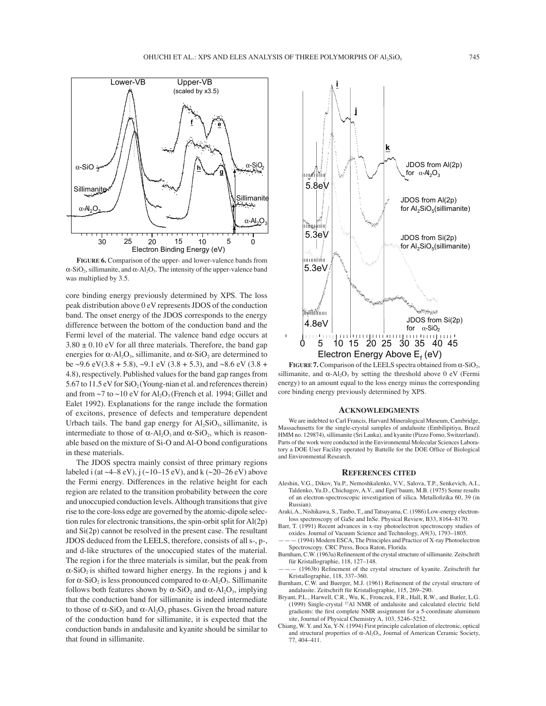

**FIGURE 6.** Comparison of the upper- and lower-valence bands from  $\alpha$ -SiO<sub>2</sub>, sillimanite, and  $\alpha$ -Al<sub>2</sub>O<sub>3</sub>. The intensity of the upper-valence band was multiplied by 3.5.

core binding energy previously determined by XPS. The loss peak distribution above 0 eV represents JDOS of the conduction band. The onset energy of the JDOS corresponds to the energy difference between the bottom of the conduction band and the Fermi level of the material. The valence band edge occurs at  $3.80 \pm 0.10$  eV for all three materials. Therefore, the band gap energies for  $\alpha$ -Al<sub>2</sub>O<sub>3</sub>, sillimanite, and  $\alpha$ -SiO<sub>2</sub> are determined to be ~9.6 eV(3.8 + 5.8), ~9.1 eV (3.8 + 5.3), and ~8.6 eV (3.8 + 4.8), respectively. Published values for the band gap ranges from 5.67 to 11.5 eV for  $SiO<sub>2</sub>$  (Young-nian et al. and references therein) and from  $\sim$ 7 to  $\sim$ 10 eV for Al<sub>2</sub>O<sub>3</sub> (French et al. 1994; Gillet and Ealet 1992). Explanations for the range include the formation of excitons, presence of defects and temperature dependent Urbach tails. The band gap energy for  $A<sub>1</sub>SiO<sub>5</sub>$ , sillimanite, is intermediate to those of  $\alpha$ -Al<sub>2</sub>O<sub>3</sub> and  $\alpha$ -SiO<sub>2</sub>, which is reasonable based on the mixture of Si-O and Al-O bond configurations in these materials.

The JDOS spectra mainly consist of three primary regions labeled i (at  $\sim$ 4–8 eV), j ( $\sim$ 10–15 eV), and k ( $\sim$ 20–26 eV) above the Fermi energy. Differences in the relative height for each region are related to the transition probability between the core and unoccupied conduction levels. Although transitions that give rise to the core-loss edge are governed by the atomic-dipole selection rules for electronic transitions, the spin-orbit split for Al(2p) and Si(2p) cannot be resolved in the present case. The resultant JDOS deduced from the LEELS, therefore, consists of all s-, p-, and d-like structures of the unoccupied states of the material. The region i for the three materials is similar, but the peak from  $\alpha$ -SiO<sub>2</sub> is shifted toward higher energy. In the regions j and k for α-SiO<sub>2</sub> is less pronounced compared to α-Al<sub>2</sub>O<sub>3</sub>. Sillimanite follows both features shown by  $\alpha$ -SiO<sub>2</sub> and  $\alpha$ -Al<sub>2</sub>O<sub>3</sub>, implying that the conduction band for sillimanite is indeed intermediate to those of  $\alpha$ -SiO<sub>2</sub> and  $\alpha$ -Al<sub>2</sub>O<sub>3</sub> phases. Given the broad nature of the conduction band for sillimanite, it is expected that the conduction bands in andalusite and kyanite should be similar to that found in sillimanite.



**FIGURE 7.** Comparison of the LEELS spectra obtained from  $\alpha$ -SiO<sub>2</sub>, sillimanite, and  $\alpha$ -Al<sub>2</sub>O<sub>3</sub> by setting the threshold above 0 eV (Fermi energy) to an amount equal to the loss energy minus the corresponding core binding energy previously determined by XPS.

## **ACKNOWLEDGMENTS**

We are indebted to Carl Francis, Harvard Mineralogical Museum, Cambridge, Massachusetts for the single-crystal samples of andalusite (Embilipitiya, Brazil HMM no. 129874), sillimanite (Sri Lanka), and kyanite (Pizzo Forno, Switzerland). Parts of the work were conducted in the Environmental Molecular Sciences Laboratory a DOE User Facility operated by Battelle for the DOE Office of Biological and Environmental Research.

#### **REFERENCES CITED**

- Aleshin, V.G., Dikov, Yu.P., Nemoshkalenko, V.V., Salova, T.P., Senkevich, A.I., Taldenko, Yu.D., Chichagov, A.V., and Epel'baum, M.B. (1975) Some results of an electron-spectroscopic investigation of silica. Metallofizika 60, 39 (in Russian).
- Araki, A., Nishikawa, S., Tanbo, T., and Tatsuyama, C. (1986) Low-energy electronloss spectroscopy of GaSe and InSe. Physical Review, B33, 8164-8170.
- Barr, T. (1991) Recent advances in x-ray photoelectron spectroscopy studies of oxides. Journal of Vacuum Science and Technology, A9(3), 1793-1805.
- $(1994)$  Modern ESCA, The Principles and Practice of X-ray Photoelectron Spectroscopy. CRC Press, Boca Raton, Florida.
- Burnham, C.W. (1963a) Refinement of the crystal structure of sillimanite. Zeitschrift für Kristallographie, 118, 127-148.
- (1963b) Refinement of the crystal structure of kyanite. Zeitschrift fur Kristallographie, 118, 337-360.
- Burnham, C.W. and Buerger, M.J. (1961) Refinement of the crystal structure of andalusite. Zeitschrift für Kristallographie, 115, 269-290.
- Bryant, P.L., Harwell, C.R., Wu, K., Fronczek, F.R., Hall, R.W., and Butler, L.G. (1999) Single-crystal  $27$ Al NMR of andalusite and calculated electric field gradients: the first complete NMR assignment for a 5-coordinate aluminum site, Journal of Physical Chemistry A, 103, 5246-5252.
- Chiang, W. Y. and Xu, Y-N. (1994) First principle calculation of electronic, optical and structural properties of  $\alpha$ -Al<sub>2</sub>O<sub>3</sub>, Journal of American Ceramic Society, 77, 404-411.